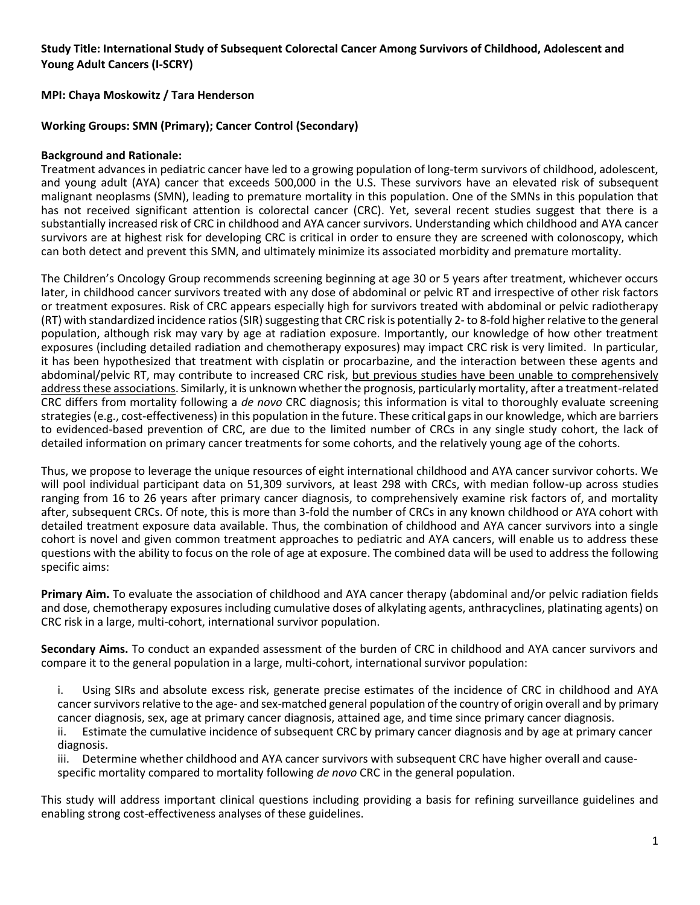# **Study Title: International Study of Subsequent Colorectal Cancer Among Survivors of Childhood, Adolescent and Young Adult Cancers (I-SCRY)**

**MPI: Chaya Moskowitz / Tara Henderson**

### **Working Groups: SMN (Primary); Cancer Control (Secondary)**

#### **Background and Rationale:**

Treatment advances in pediatric cancer have led to a growing population of long-term survivors of childhood, adolescent, and young adult (AYA) cancer that exceeds 500,000 in the U.S. These survivors have an elevated risk of subsequent malignant neoplasms (SMN), leading to premature mortality in this population. One of the SMNs in this population that has not received significant attention is colorectal cancer (CRC). Yet, several recent studies suggest that there is a substantially increased risk of CRC in childhood and AYA cancer survivors. Understanding which childhood and AYA cancer survivors are at highest risk for developing CRC is critical in order to ensure they are screened with colonoscopy, which can both detect and prevent this SMN, and ultimately minimize its associated morbidity and premature mortality.

The Children's Oncology Group recommends screening beginning at age 30 or 5 years after treatment, whichever occurs later, in childhood cancer survivors treated with any dose of abdominal or pelvic RT and irrespective of other risk factors or treatment exposures. Risk of CRC appears especially high for survivors treated with abdominal or pelvic radiotherapy (RT) with standardized incidence ratios (SIR) suggesting that CRC risk is potentially 2- to 8-fold higher relative to the general population, although risk may vary by age at radiation exposure. Importantly, our knowledge of how other treatment exposures (including detailed radiation and chemotherapy exposures) may impact CRC risk is very limited. In particular, it has been hypothesized that treatment with cisplatin or procarbazine, and the interaction between these agents and abdominal/pelvic RT, may contribute to increased CRC risk, but previous studies have been unable to comprehensively address these associations. Similarly, it is unknown whether the prognosis, particularly mortality, after a treatment-related CRC differs from mortality following a *de novo* CRC diagnosis; this information is vital to thoroughly evaluate screening strategies (e.g., cost-effectiveness) in this population in the future. These critical gaps in our knowledge, which are barriers to evidenced-based prevention of CRC, are due to the limited number of CRCs in any single study cohort, the lack of detailed information on primary cancer treatments for some cohorts, and the relatively young age of the cohorts.

Thus, we propose to leverage the unique resources of eight international childhood and AYA cancer survivor cohorts. We will pool individual participant data on 51,309 survivors, at least 298 with CRCs, with median follow-up across studies ranging from 16 to 26 years after primary cancer diagnosis, to comprehensively examine risk factors of, and mortality after, subsequent CRCs. Of note, this is more than 3-fold the number of CRCs in any known childhood or AYA cohort with detailed treatment exposure data available. Thus, the combination of childhood and AYA cancer survivors into a single cohort is novel and given common treatment approaches to pediatric and AYA cancers, will enable us to address these questions with the ability to focus on the role of age at exposure. The combined data will be used to address the following specific aims:

**Primary Aim.** To evaluate the association of childhood and AYA cancer therapy (abdominal and/or pelvic radiation fields and dose, chemotherapy exposures including cumulative doses of alkylating agents, anthracyclines, platinating agents) on CRC risk in a large, multi-cohort, international survivor population.

**Secondary Aims.** To conduct an expanded assessment of the burden of CRC in childhood and AYA cancer survivors and compare it to the general population in a large, multi-cohort, international survivor population:

i. Using SIRs and absolute excess risk, generate precise estimates of the incidence of CRC in childhood and AYA cancer survivors relative to the age- and sex-matched general population of the country of origin overall and by primary cancer diagnosis, sex, age at primary cancer diagnosis, attained age, and time since primary cancer diagnosis.

ii. Estimate the cumulative incidence of subsequent CRC by primary cancer diagnosis and by age at primary cancer diagnosis.

iii. Determine whether childhood and AYA cancer survivors with subsequent CRC have higher overall and causespecific mortality compared to mortality following *de novo* CRC in the general population.

This study will address important clinical questions including providing a basis for refining surveillance guidelines and enabling strong cost-effectiveness analyses of these guidelines.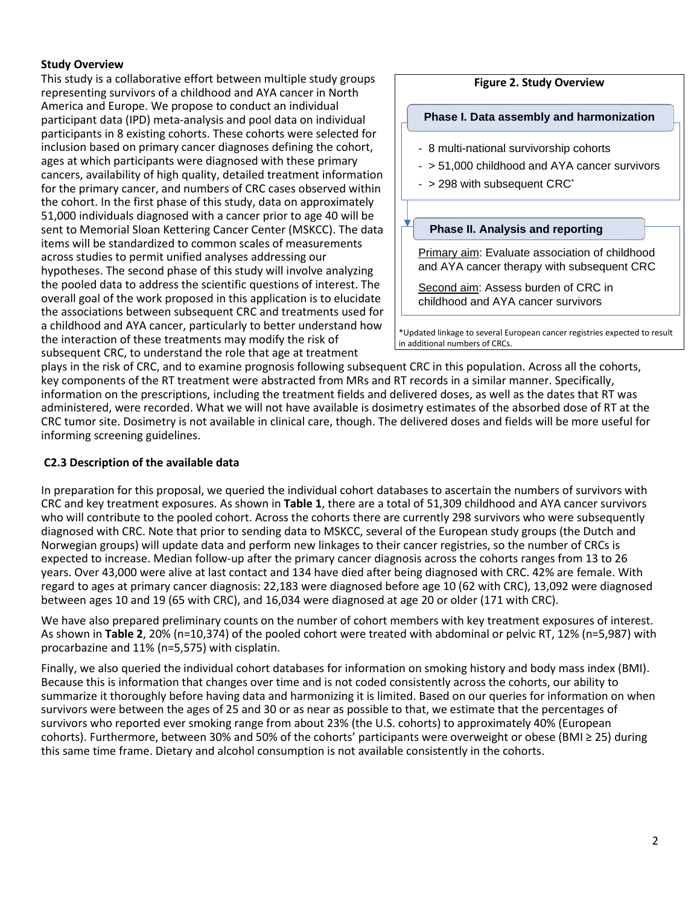# **Study Overview**

This study is a collaborative effort between multiple study groups representing survivors of a childhood and AYA cancer in North America and Europe. We propose to conduct an individual participant data (IPD) meta-analysis and pool data on individual participants in 8 existing cohorts. These cohorts were selected for inclusion based on primary cancer diagnoses defining the cohort, ages at which participants were diagnosed with these primary cancers, availability of high quality, detailed treatment information for the primary cancer, and numbers of CRC cases observed within the cohort. In the first phase of this study, data on approximately 51,000 individuals diagnosed with a cancer prior to age 40 will be sent to Memorial Sloan Kettering Cancer Center (MSKCC). The data items will be standardized to common scales of measurements across studies to permit unified analyses addressing our hypotheses. The second phase of this study will involve analyzing the pooled data to address the scientific questions of interest. The overall goal of the work proposed in this application is to elucidate the associations between subsequent CRC and treatments used for a childhood and AYA cancer, particularly to better understand how the interaction of these treatments may modify the risk of subsequent CRC, to understand the role that age at treatment

# **Figure 2. Study Overview**

#### **Phase I. Data assembly and harmonization**

- **-** 8 multi-national survivorship cohorts
- **-** > 51,000 childhood and AYA cancer survivors
- **-** > 298 with subsequent CRC\*

#### **Phase II. Analysis and reporting**

Primary aim: Evaluate association of childhood and AYA cancer therapy with subsequent CRC

Second aim: Assess burden of CRC in childhood and AYA cancer survivors

\*Updated linkage to several European cancer registries expected to result in additional numbers of CRCs.

plays in the risk of CRC, and to examine prognosis following subsequent CRC in this population. Across all the cohorts, key components of the RT treatment were abstracted from MRs and RT records in a similar manner. Specifically, information on the prescriptions, including the treatment fields and delivered doses, as well as the dates that RT was administered, were recorded. What we will not have available is dosimetry estimates of the absorbed dose of RT at the CRC tumor site. Dosimetry is not available in clinical care, though. The delivered doses and fields will be more useful for informing screening guidelines.

# **C2.3 Description of the available data**

In preparation for this proposal, we queried the individual cohort databases to ascertain the numbers of survivors with CRC and key treatment exposures. As shown in **Table 1**, there are a total of 51,309 childhood and AYA cancer survivors who will contribute to the pooled cohort. Across the cohorts there are currently 298 survivors who were subsequently diagnosed with CRC. Note that prior to sending data to MSKCC, several of the European study groups (the Dutch and Norwegian groups) will update data and perform new linkages to their cancer registries, so the number of CRCs is expected to increase. Median follow-up after the primary cancer diagnosis across the cohorts ranges from 13 to 26 years. Over 43,000 were alive at last contact and 134 have died after being diagnosed with CRC. 42% are female. With regard to ages at primary cancer diagnosis: 22,183 were diagnosed before age 10 (62 with CRC), 13,092 were diagnosed between ages 10 and 19 (65 with CRC), and 16,034 were diagnosed at age 20 or older (171 with CRC).

We have also prepared preliminary counts on the number of cohort members with key treatment exposures of interest. As shown in **Table 2**, 20% (n=10,374) of the pooled cohort were treated with abdominal or pelvic RT, 12% (n=5,987) with procarbazine and 11% (n=5,575) with cisplatin.

Finally, we also queried the individual cohort databases for information on smoking history and body mass index (BMI). Because this is information that changes over time and is not coded consistently across the cohorts, our ability to summarize it thoroughly before having data and harmonizing it is limited. Based on our queries for information on when survivors were between the ages of 25 and 30 or as near as possible to that, we estimate that the percentages of survivors who reported ever smoking range from about 23% (the U.S. cohorts) to approximately 40% (European cohorts). Furthermore, between 30% and 50% of the cohorts' participants were overweight or obese (BMI ≥ 25) during this same time frame. Dietary and alcohol consumption is not available consistently in the cohorts.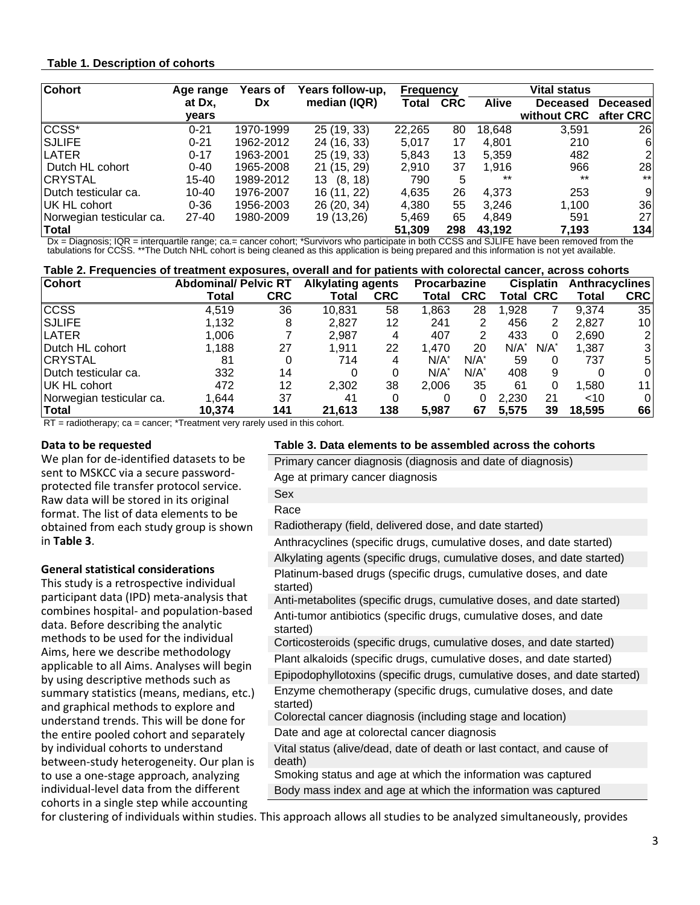### **Table 1. Description of cohorts**

| <b>Cohort</b>            | Age range | Years of  | Years follow-up, | <b>Frequency</b> |            | Vital status |             |                 |  |
|--------------------------|-----------|-----------|------------------|------------------|------------|--------------|-------------|-----------------|--|
|                          | at Dx,    | <b>Dx</b> | median (IQR)     | Total            | <b>CRC</b> | <b>Alive</b> | Deceased    | <b>Deceased</b> |  |
|                          | vears     |           |                  |                  |            |              | without CRC | after CRC       |  |
| CCSS <sup>*</sup>        | $0 - 21$  | 1970-1999 | 25 (19, 33)      | 22,265           | 80         | 18,648       | 3,591       | 26              |  |
| <b>SJLIFE</b>            | $0 - 21$  | 1962-2012 | 24 (16, 33)      | 5,017            | 17         | 4.801        | 210         | 6               |  |
| <b>LATER</b>             | $0 - 17$  | 1963-2001 | 25 (19, 33)      | 5,843            | 13         | 5.359        | 482         | $\overline{2}$  |  |
| Dutch HL cohort          | $0 - 40$  | 1965-2008 | 21 (15, 29)      | 2.910            | 37         | 1.916        | 966         | 28              |  |
| <b>CRYSTAL</b>           | 15-40     | 1989-2012 | (8, 18)<br>13    | 790              | 5          | $***$        | $***$       | $***$           |  |
| Dutch testicular ca.     | $10 - 40$ | 1976-2007 | 16 (11, 22)      | 4,635            | 26         | 4,373        | 253         | 9               |  |
| IUK HL cohort            | $0 - 36$  | 1956-2003 | 26 (20, 34)      | 4,380            | 55         | 3.246        | 1,100       | 36              |  |
| Norwegian testicular ca. | $27 - 40$ | 1980-2009 | 19 (13,26)       | 5.469            | 65         | 4.849        | 591         | 27              |  |
| <b>Total</b>             |           |           |                  | 51.309           | 298        | 43,192       | 7,193       | 134             |  |

Dx = Diagnosis; IQR = interquartile range; ca.= cancer cohort; \*Survivors who participate in both CCSS and SJLIFE have been removed from the<br>tabulations for CCSS. \*\*The Dutch NHL cohort is being cleaned as this application

| Table 2. Frequencies of treatment exposures, overall and for patients with colorectal cancer, across cohorts |                             |            |                          |            |                     |            |                  |      |                       |                |
|--------------------------------------------------------------------------------------------------------------|-----------------------------|------------|--------------------------|------------|---------------------|------------|------------------|------|-----------------------|----------------|
| <b>Cohort</b>                                                                                                | <b>Abdominal/ Pelvic RT</b> |            | <b>Alkylating agents</b> |            | <b>Procarbazine</b> |            | <b>Cisplatin</b> |      | <b>Anthracyclines</b> |                |
|                                                                                                              | Total                       | <b>CRC</b> | Total                    | <b>CRC</b> | Total               | <b>CRC</b> | <b>Total CRC</b> |      | Total                 | <b>CRC</b>     |
| <b>CCSS</b>                                                                                                  | 4.519                       | 36         | 10.831                   | 58         | 1.863               | 28         | 1.928            |      | 9.374                 | 35             |
| <b>SJLIFE</b>                                                                                                | 1,132                       | 8          | 2.827                    | 12         | 241                 | 2          | 456              | 2    | 2.827                 | 10 I           |
| <b>ILATER</b>                                                                                                | 0.006                       |            | 2.987                    |            | 407                 |            | 433              | 0    | 2,690                 | $\overline{2}$ |
| Dutch HL cohort                                                                                              | 1.188                       | 27         | 1.911                    | 22         | 1.470               | 20         | N/A              | N/A' | 1,387                 | 3 <sup>1</sup> |
| <b>CRYSTAL</b>                                                                                               | 81                          | 0          | 714                      | 4          | N/A                 | N/A        | 59               | 0    | 737                   | 5              |
| Dutch testicular ca.                                                                                         | 332                         | 14         |                          |            | N/A                 | N/A'       | 408              | 9    |                       | 0              |
| IUK HL cohort                                                                                                | 472                         | 12         | 2.302                    | 38         | 2.006               | 35         | 61               | 0    | 1.580                 | 11.            |
| Norwegian testicular ca.                                                                                     | 1.644                       | 37         | 41                       |            |                     |            | 2,230            | 21   | ~10                   | 0              |
| Total                                                                                                        | 10.374                      | 141        | 21.613                   | 138        | 5.987               | 67         | 5.575            | 39   | 18.595                | 66             |

RT = radiotherapy; ca = cancer; \*Treatment very rarely used in this cohort.

#### **Data to be requested**

We plan for de-identified datasets to be sent to MSKCC via a secure passwordprotected file transfer protocol service. Raw data will be stored in its original format. The list of data elements to be obtained from each study group is shown in **Table 3**.

#### **General statistical considerations**

This study is a retrospective individual participant data (IPD) meta-analysis that combines hospital- and population-based data. Before describing the analytic methods to be used for the individual Aims, here we describe methodology applicable to all Aims. Analyses will begin by using descriptive methods such as summary statistics (means, medians, etc.) and graphical methods to explore and understand trends. This will be done for the entire pooled cohort and separately by individual cohorts to understand between-study heterogeneity. Our plan is to use a one-stage approach, analyzing individual-level data from the different cohorts in a single step while accounting

#### **Table 3. Data elements to be assembled across the cohorts**

Primary cancer diagnosis (diagnosis and date of diagnosis) Age at primary cancer diagnosis

Sex

Race

Radiotherapy (field, delivered dose, and date started)

Anthracyclines (specific drugs, cumulative doses, and date started) Alkylating agents (specific drugs, cumulative doses, and date started) Platinum-based drugs (specific drugs, cumulative doses, and date started)

Anti-metabolites (specific drugs, cumulative doses, and date started) Anti-tumor antibiotics (specific drugs, cumulative doses, and date started)

Corticosteroids (specific drugs, cumulative doses, and date started)

Plant alkaloids (specific drugs, cumulative doses, and date started)

Epipodophyllotoxins (specific drugs, cumulative doses, and date started) Enzyme chemotherapy (specific drugs, cumulative doses, and date started)

Colorectal cancer diagnosis (including stage and location) Date and age at colorectal cancer diagnosis

Vital status (alive/dead, date of death or last contact, and cause of death)

Smoking status and age at which the information was captured Body mass index and age at which the information was captured

for clustering of individuals within studies. This approach allows all studies to be analyzed simultaneously, provides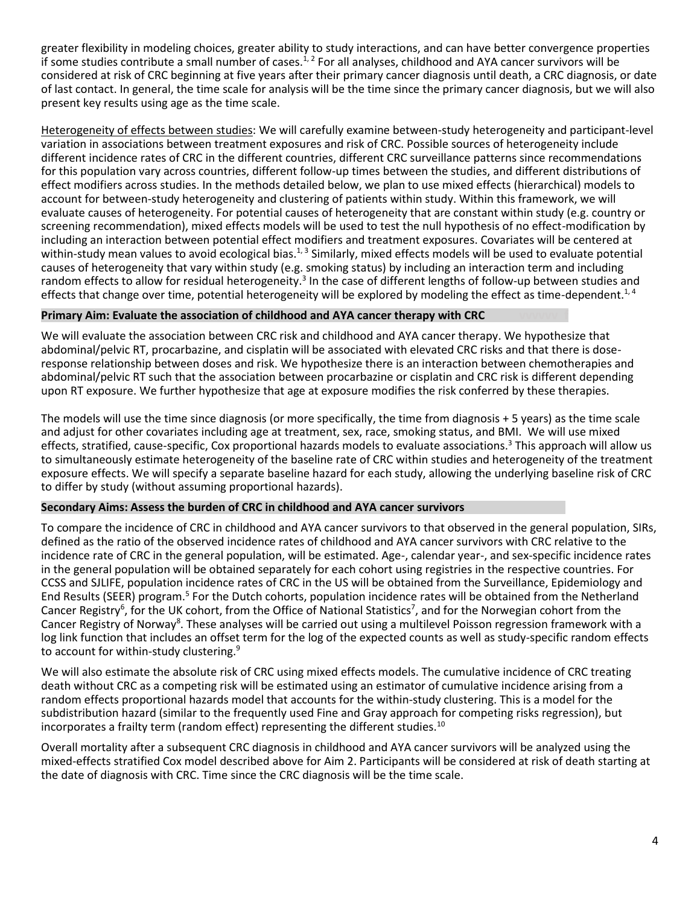greater flexibility in modeling choices, greater ability to study interactions, and can have better convergence properties if some studies contribute a small number of cases.<sup>1, 2</sup> For all analyses, childhood and AYA cancer survivors will be considered at risk of CRC beginning at five years after their primary cancer diagnosis until death, a CRC diagnosis, or date of last contact. In general, the time scale for analysis will be the time since the primary cancer diagnosis, but we will also present key results using age as the time scale.

Heterogeneity of effects between studies: We will carefully examine between-study heterogeneity and participant-level variation in associations between treatment exposures and risk of CRC. Possible sources of heterogeneity include different incidence rates of CRC in the different countries, different CRC surveillance patterns since recommendations for this population vary across countries, different follow-up times between the studies, and different distributions of effect modifiers across studies. In the methods detailed below, we plan to use mixed effects (hierarchical) models to account for between-study heterogeneity and clustering of patients within study. Within this framework, we will evaluate causes of heterogeneity. For potential causes of heterogeneity that are constant within study (e.g. country or screening recommendation), mixed effects models will be used to test the null hypothesis of no effect-modification by including an interaction between potential effect modifiers and treatment exposures. Covariates will be centered at within-study mean values to avoid ecological bias.<sup>1, 3</sup> Similarly, mixed effects models will be used to evaluate potential causes of heterogeneity that vary within study (e.g. smoking status) by including an interaction term and including random effects to allow for residual heterogeneity.<sup>3</sup> In the case of different lengths of follow-up between studies and effects that change over time, potential heterogeneity will be explored by modeling the effect as time-dependent.<sup>1,4</sup>

# **Primary Aim: Evaluate the association of childhood and AYA cancer therapy with CRC**

We will evaluate the association between CRC risk and childhood and AYA cancer therapy. We hypothesize that abdominal/pelvic RT, procarbazine, and cisplatin will be associated with elevated CRC risks and that there is doseresponse relationship between doses and risk. We hypothesize there is an interaction between chemotherapies and abdominal/pelvic RT such that the association between procarbazine or cisplatin and CRC risk is different depending upon RT exposure. We further hypothesize that age at exposure modifies the risk conferred by these therapies.

The models will use the time since diagnosis (or more specifically, the time from diagnosis + 5 years) as the time scale and adjust for other covariates including age at treatment, sex, race, smoking status, and BMI. We will use mixed effects, stratified, cause-specific, Cox proportional hazards models to evaluate associations.<sup>3</sup> This approach will allow us to simultaneously estimate heterogeneity of the baseline rate of CRC within studies and heterogeneity of the treatment exposure effects. We will specify a separate baseline hazard for each study, allowing the underlying baseline risk of CRC to differ by study (without assuming proportional hazards).

# **Secondary Aims: Assess the burden of CRC in childhood and AYA cancer survivors**

To compare the incidence of CRC in childhood and AYA cancer survivors to that observed in the general population, SIRs, defined as the ratio of the observed incidence rates of childhood and AYA cancer survivors with CRC relative to the incidence rate of CRC in the general population, will be estimated. Age-, calendar year-, and sex-specific incidence rates in the general population will be obtained separately for each cohort using registries in the respective countries. For CCSS and SJLIFE, population incidence rates of CRC in the US will be obtained from the Surveillance, Epidemiology and End Results (SEER) program.<sup>5</sup> For the Dutch cohorts, population incidence rates will be obtained from the Netherland Cancer Registry<sup>6</sup>, for the UK cohort, from the Office of National Statistics<sup>7</sup>, and for the Norwegian cohort from the Cancer Registry of Norway<sup>8</sup>. These analyses will be carried out using a multilevel Poisson regression framework with a log link function that includes an offset term for the log of the expected counts as well as study-specific random effects to account for within-study clustering.<sup>9</sup>

We will also estimate the absolute risk of CRC using mixed effects models. The cumulative incidence of CRC treating death without CRC as a competing risk will be estimated using an estimator of cumulative incidence arising from a random effects proportional hazards model that accounts for the within-study clustering. This is a model for the subdistribution hazard (similar to the frequently used Fine and Gray approach for competing risks regression), but incorporates a frailty term (random effect) representing the different studies.<sup>10</sup>

Overall mortality after a subsequent CRC diagnosis in childhood and AYA cancer survivors will be analyzed using the mixed-effects stratified Cox model described above for Aim 2. Participants will be considered at risk of death starting at the date of diagnosis with CRC. Time since the CRC diagnosis will be the time scale.